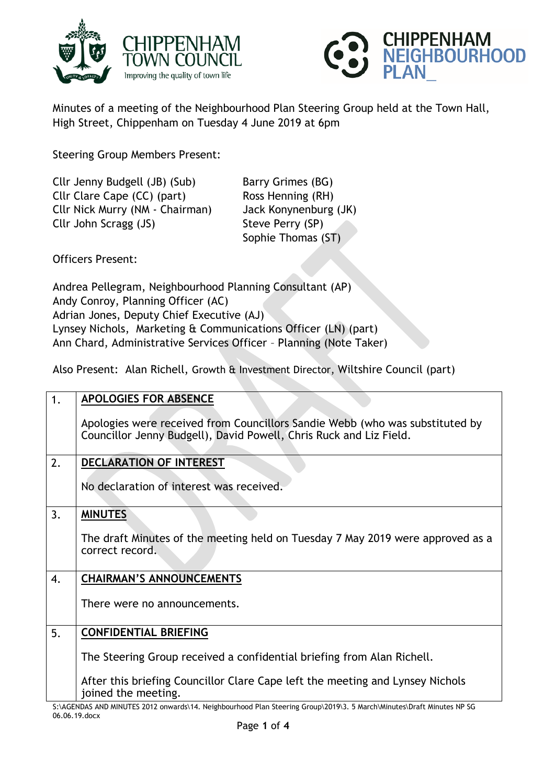



Minutes of a meeting of the Neighbourhood Plan Steering Group held at the Town Hall, High Street, Chippenham on Tuesday 4 June 2019 at 6pm

Steering Group Members Present:

Cllr Jenny Budgell (JB) (Sub) Barry Grimes (BG) Cllr Clare Cape (CC) (part) Ross Henning (RH) Cllr Nick Murry (NM - Chairman) Jack Konynenburg (JK) Cllr John Scragg (JS) Steve Perry (SP)

Sophie Thomas (ST)

Officers Present:

Andrea Pellegram, Neighbourhood Planning Consultant (AP) Andy Conroy, Planning Officer (AC) Adrian Jones, Deputy Chief Executive (AJ) Lynsey Nichols, Marketing & Communications Officer (LN) (part) Ann Chard, Administrative Services Officer – Planning (Note Taker)

Also Present: Alan Richell, Growth & Investment Director, Wiltshire Council (part)

| 1. | <b>APOLOGIES FOR ABSENCE</b>                                                                                                                       |
|----|----------------------------------------------------------------------------------------------------------------------------------------------------|
|    | Apologies were received from Councillors Sandie Webb (who was substituted by<br>Councillor Jenny Budgell), David Powell, Chris Ruck and Liz Field. |
| 2. | <b>DECLARATION OF INTEREST</b>                                                                                                                     |
|    | No declaration of interest was received.                                                                                                           |
| 3. | <b>MINUTES</b>                                                                                                                                     |
|    | The draft Minutes of the meeting held on Tuesday 7 May 2019 were approved as a<br>correct record.                                                  |
| 4. | <b>CHAIRMAN'S ANNOUNCEMENTS</b>                                                                                                                    |
|    | There were no announcements.                                                                                                                       |
| 5. | <b>CONFIDENTIAL BRIEFING</b>                                                                                                                       |
|    | The Steering Group received a confidential briefing from Alan Richell.                                                                             |
|    | After this briefing Councillor Clare Cape left the meeting and Lynsey Nichols<br>joined the meeting.                                               |
|    | C. ACENDAS AND MINILITES 2012 opwards 14 Noighbourbood Plan Stooring Croup 2019 3 5 March Minutos Draft Minutos NP SC                              |

S:\AGENDAS AND MINUTES 2012 onwards\14. Neighbourhood Plan Steering Group\2019\3. 5 March\Minutes\Draft Minutes NP SG 06.06.19.docx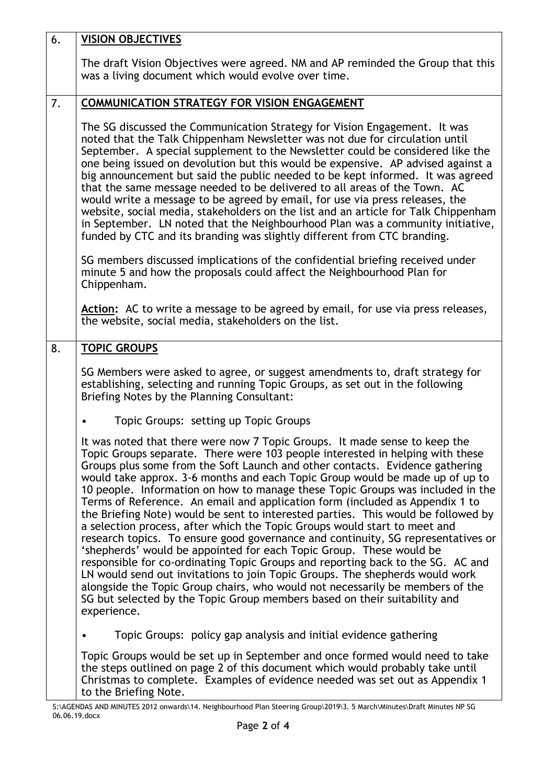| 6. | <b>VISION OBJECTIVES</b>                                                                                                                                                                                                                                                                                                                                                                                                                                                                                                                                                                                                                                                                                                                                                                                                                                                                                                                                                                                                                                                                                                                                                   |
|----|----------------------------------------------------------------------------------------------------------------------------------------------------------------------------------------------------------------------------------------------------------------------------------------------------------------------------------------------------------------------------------------------------------------------------------------------------------------------------------------------------------------------------------------------------------------------------------------------------------------------------------------------------------------------------------------------------------------------------------------------------------------------------------------------------------------------------------------------------------------------------------------------------------------------------------------------------------------------------------------------------------------------------------------------------------------------------------------------------------------------------------------------------------------------------|
|    | The draft Vision Objectives were agreed. NM and AP reminded the Group that this<br>was a living document which would evolve over time.                                                                                                                                                                                                                                                                                                                                                                                                                                                                                                                                                                                                                                                                                                                                                                                                                                                                                                                                                                                                                                     |
| 7. | <b>COMMUNICATION STRATEGY FOR VISION ENGAGEMENT</b>                                                                                                                                                                                                                                                                                                                                                                                                                                                                                                                                                                                                                                                                                                                                                                                                                                                                                                                                                                                                                                                                                                                        |
|    | The SG discussed the Communication Strategy for Vision Engagement. It was<br>noted that the Talk Chippenham Newsletter was not due for circulation until<br>September. A special supplement to the Newsletter could be considered like the<br>one being issued on devolution but this would be expensive. AP advised against a<br>big announcement but said the public needed to be kept informed. It was agreed<br>that the same message needed to be delivered to all areas of the Town. AC<br>would write a message to be agreed by email, for use via press releases, the<br>website, social media, stakeholders on the list and an article for Talk Chippenham<br>in September. LN noted that the Neighbourhood Plan was a community initiative,<br>funded by CTC and its branding was slightly different from CTC branding.                                                                                                                                                                                                                                                                                                                                          |
|    | SG members discussed implications of the confidential briefing received under<br>minute 5 and how the proposals could affect the Neighbourhood Plan for<br>Chippenham.                                                                                                                                                                                                                                                                                                                                                                                                                                                                                                                                                                                                                                                                                                                                                                                                                                                                                                                                                                                                     |
|    | Action: AC to write a message to be agreed by email, for use via press releases,<br>the website, social media, stakeholders on the list.                                                                                                                                                                                                                                                                                                                                                                                                                                                                                                                                                                                                                                                                                                                                                                                                                                                                                                                                                                                                                                   |
| 8. | <b>TOPIC GROUPS</b>                                                                                                                                                                                                                                                                                                                                                                                                                                                                                                                                                                                                                                                                                                                                                                                                                                                                                                                                                                                                                                                                                                                                                        |
|    | SG Members were asked to agree, or suggest amendments to, draft strategy for<br>establishing, selecting and running Topic Groups, as set out in the following<br>Briefing Notes by the Planning Consultant:                                                                                                                                                                                                                                                                                                                                                                                                                                                                                                                                                                                                                                                                                                                                                                                                                                                                                                                                                                |
|    | Topic Groups: setting up Topic Groups                                                                                                                                                                                                                                                                                                                                                                                                                                                                                                                                                                                                                                                                                                                                                                                                                                                                                                                                                                                                                                                                                                                                      |
|    | It was noted that there were now 7 Topic Groups. It made sense to keep the<br>Topic Groups separate. There were 103 people interested in helping with these<br>Groups plus some from the Soft Launch and other contacts. Evidence gathering<br>would take approx. 3-6 months and each Topic Group would be made up of up to<br>10 people. Information on how to manage these Topic Groups was included in the<br>Terms of Reference. An email and application form (included as Appendix 1 to<br>the Briefing Note) would be sent to interested parties. This would be followed by<br>a selection process, after which the Topic Groups would start to meet and<br>research topics. To ensure good governance and continuity, SG representatives or<br>'shepherds' would be appointed for each Topic Group. These would be<br>responsible for co-ordinating Topic Groups and reporting back to the SG. AC and<br>LN would send out invitations to join Topic Groups. The shepherds would work<br>alongside the Topic Group chairs, who would not necessarily be members of the<br>SG but selected by the Topic Group members based on their suitability and<br>experience. |
|    | Topic Groups: policy gap analysis and initial evidence gathering                                                                                                                                                                                                                                                                                                                                                                                                                                                                                                                                                                                                                                                                                                                                                                                                                                                                                                                                                                                                                                                                                                           |
|    | Topic Groups would be set up in September and once formed would need to take<br>the steps outlined on page 2 of this document which would probably take until<br>Christmas to complete. Examples of evidence needed was set out as Appendix 1<br>to the Briefing Note.                                                                                                                                                                                                                                                                                                                                                                                                                                                                                                                                                                                                                                                                                                                                                                                                                                                                                                     |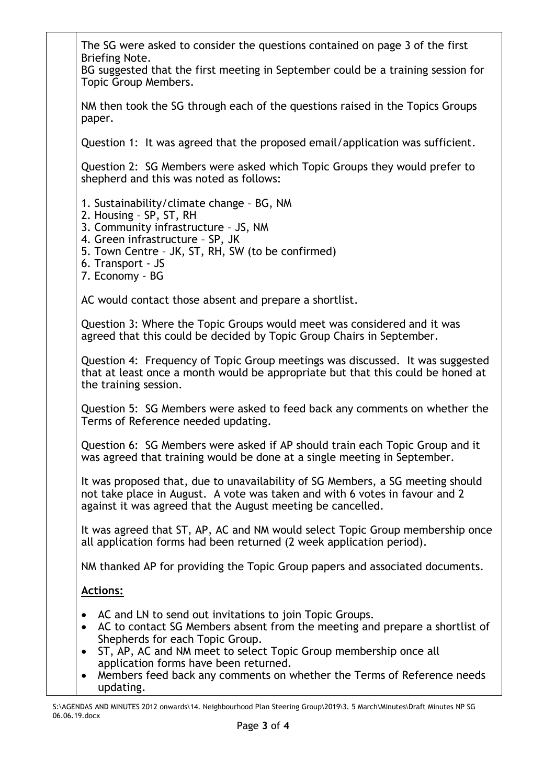The SG were asked to consider the questions contained on page 3 of the first Briefing Note. BG suggested that the first meeting in September could be a training session for Topic Group Members. NM then took the SG through each of the questions raised in the Topics Groups paper. Question 1: It was agreed that the proposed email/application was sufficient. Question 2: SG Members were asked which Topic Groups they would prefer to shepherd and this was noted as follows: 1. Sustainability/climate change – BG, NM 2. Housing – SP, ST, RH 3. Community infrastructure – JS, NM 4. Green infrastructure – SP, JK 5. Town Centre – JK, ST, RH, SW (to be confirmed) 6. Transport - JS 7. Economy - BG AC would contact those absent and prepare a shortlist. Question 3: Where the Topic Groups would meet was considered and it was agreed that this could be decided by Topic Group Chairs in September. Question 4: Frequency of Topic Group meetings was discussed. It was suggested that at least once a month would be appropriate but that this could be honed at the training session. Question 5: SG Members were asked to feed back any comments on whether the Terms of Reference needed updating. Question 6: SG Members were asked if AP should train each Topic Group and it was agreed that training would be done at a single meeting in September. It was proposed that, due to unavailability of SG Members, a SG meeting should not take place in August. A vote was taken and with 6 votes in favour and 2 against it was agreed that the August meeting be cancelled. It was agreed that ST, AP, AC and NM would select Topic Group membership once all application forms had been returned (2 week application period). NM thanked AP for providing the Topic Group papers and associated documents. **Actions:** • AC and LN to send out invitations to join Topic Groups. AC to contact SG Members absent from the meeting and prepare a shortlist of Shepherds for each Topic Group. • ST, AP, AC and NM meet to select Topic Group membership once all application forms have been returned. • Members feed back any comments on whether the Terms of Reference needs updating.